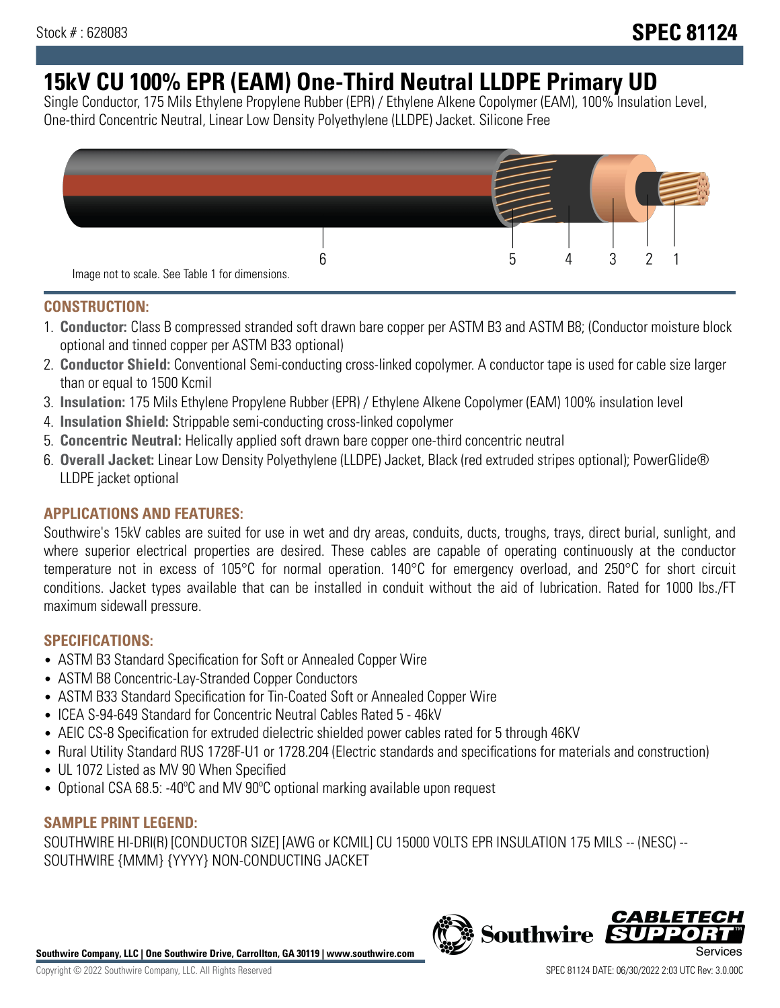# **15kV CU 100% EPR (EAM) One-Third Neutral LLDPE Primary UD**

Single Conductor, 175 Mils Ethylene Propylene Rubber (EPR) / Ethylene Alkene Copolymer (EAM), 100% Insulation Level, One-third Concentric Neutral, Linear Low Density Polyethylene (LLDPE) Jacket. Silicone Free



#### **CONSTRUCTION:**

- 1. **Conductor:** Class B compressed stranded soft drawn bare copper per ASTM B3 and ASTM B8; (Conductor moisture block optional and tinned copper per ASTM B33 optional)
- 2. **Conductor Shield:** Conventional Semi-conducting cross-linked copolymer. A conductor tape is used for cable size larger than or equal to 1500 Kcmil
- 3. **Insulation:** 175 Mils Ethylene Propylene Rubber (EPR) / Ethylene Alkene Copolymer (EAM) 100% insulation level
- 4. **Insulation Shield:** Strippable semi-conducting cross-linked copolymer
- 5. **Concentric Neutral:** Helically applied soft drawn bare copper one-third concentric neutral
- 6. **Overall Jacket:** Linear Low Density Polyethylene (LLDPE) Jacket, Black (red extruded stripes optional); PowerGlide® LLDPE jacket optional

## **APPLICATIONS AND FEATURES:**

Southwire's 15kV cables are suited for use in wet and dry areas, conduits, ducts, troughs, trays, direct burial, sunlight, and where superior electrical properties are desired. These cables are capable of operating continuously at the conductor temperature not in excess of 105°C for normal operation. 140°C for emergency overload, and 250°C for short circuit conditions. Jacket types available that can be installed in conduit without the aid of lubrication. Rated for 1000 lbs./FT maximum sidewall pressure.

## **SPECIFICATIONS:**

- ASTM B3 Standard Specification for Soft or Annealed Copper Wire
- ASTM B8 Concentric-Lay-Stranded Copper Conductors
- ASTM B33 Standard Specification for Tin-Coated Soft or Annealed Copper Wire
- ICEA S-94-649 Standard for Concentric Neutral Cables Rated 5 46kV
- AEIC CS-8 Specification for extruded dielectric shielded power cables rated for 5 through 46KV
- Rural Utility Standard RUS 1728F-U1 or 1728.204 (Electric standards and specifications for materials and construction)
- UL 1072 Listed as MV 90 When Specified
- Optional CSA 68.5: -40°C and MV 90°C optional marking available upon request

#### **SAMPLE PRINT LEGEND:**

SOUTHWIRE HI-DRI(R) [CONDUCTOR SIZE] [AWG or KCMIL] CU 15000 VOLTS EPR INSULATION 175 MILS -- (NESC) -- SOUTHWIRE {MMM} {YYYY} NON-CONDUCTING JACKET